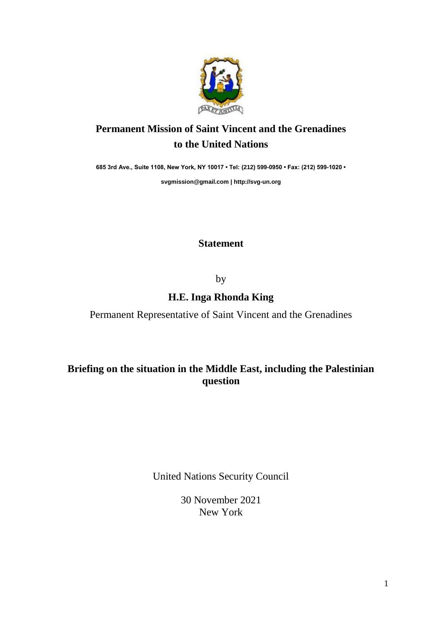

## **Permanent Mission of Saint Vincent and the Grenadines to the United Nations**

**685 3rd Ave., Suite 1108, New York, NY 10017 • Tel: (212) 599-0950 • Fax: (212) 599-1020 •** 

**[svgmission@gmail.com](mailto:svgmission@gmail.com) | [http://svg-un.org](http://svg-un.org/)**

## **Statement**

by

## **H.E. Inga Rhonda King**

Permanent Representative of Saint Vincent and the Grenadines

## **Briefing on the situation in the Middle East, including the Palestinian question**

United Nations Security Council

30 November 2021 New York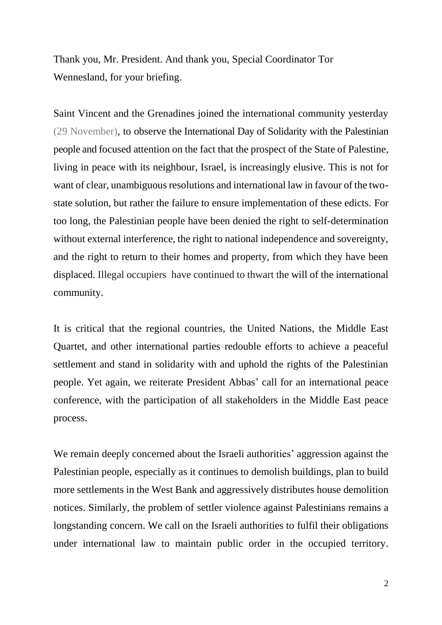Thank you, Mr. President. And thank you, Special Coordinator Tor Wennesland, for your briefing.

Saint Vincent and the Grenadines joined the international community yesterday (29 November), to observe the International Day of Solidarity with the Palestinian people and focused attention on the fact that the prospect of the State of Palestine, living in peace with its neighbour, Israel, is increasingly elusive. This is not for want of clear, unambiguous resolutions and international law in favour of the twostate solution, but rather the failure to ensure implementation of these edicts. For too long, the Palestinian people have been denied the right to self-determination without external interference, the right to national independence and sovereignty, and the right to return to their homes and property, from which they have been displaced. Illegal occupiers, have continued to thwart the will of the international community.

It is critical that the regional countries, the United Nations, the Middle East Quartet, and other international parties redouble efforts to achieve a peaceful settlement and stand in solidarity with and uphold the rights of the Palestinian people. Yet again, we reiterate President Abbas' call for an international peace conference, with the participation of all stakeholders in the Middle East peace process.

We remain deeply concerned about the Israeli authorities' aggression against the Palestinian people, especially as it continues to demolish buildings, plan to build more settlements in the West Bank and aggressively distributes house demolition notices. Similarly, the problem of settler violence against Palestinians remains a longstanding concern. We call on the Israeli authorities to fulfil their obligations under international law to maintain public order in the occupied territory.